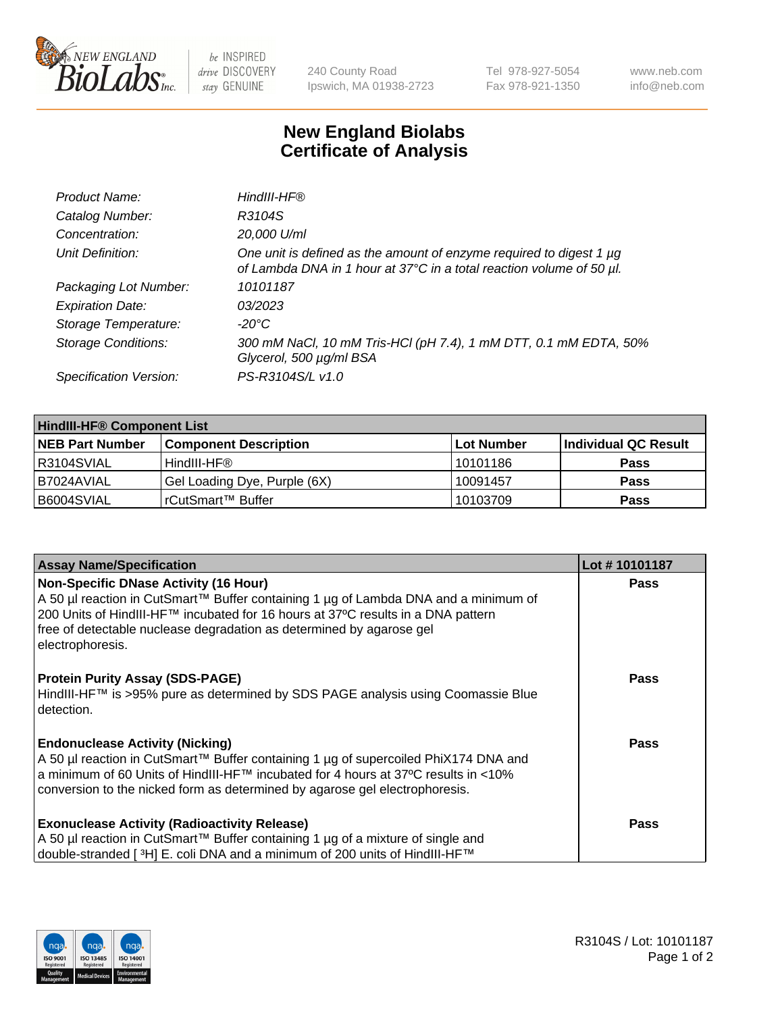

 $be$  INSPIRED drive DISCOVERY stay GENUINE

240 County Road Ipswich, MA 01938-2723 Tel 978-927-5054 Fax 978-921-1350 www.neb.com info@neb.com

## **New England Biolabs Certificate of Analysis**

| Product Name:              | HindIII-HF®                                                                                                                                      |
|----------------------------|--------------------------------------------------------------------------------------------------------------------------------------------------|
| Catalog Number:            | R3104S                                                                                                                                           |
| Concentration:             | 20,000 U/ml                                                                                                                                      |
| Unit Definition:           | One unit is defined as the amount of enzyme required to digest 1 $\mu$ g<br>of Lambda DNA in 1 hour at 37°C in a total reaction volume of 50 µl. |
| Packaging Lot Number:      | 10101187                                                                                                                                         |
| <b>Expiration Date:</b>    | 03/2023                                                                                                                                          |
| Storage Temperature:       | $-20^{\circ}$ C                                                                                                                                  |
| <b>Storage Conditions:</b> | 300 mM NaCl, 10 mM Tris-HCl (pH 7.4), 1 mM DTT, 0.1 mM EDTA, 50%<br>Glycerol, 500 µg/ml BSA                                                      |
| Specification Version:     | PS-R3104S/L v1.0                                                                                                                                 |

| <b>HindIII-HF® Component List</b> |                              |                   |                      |  |  |
|-----------------------------------|------------------------------|-------------------|----------------------|--|--|
| <b>NEB Part Number</b>            | <b>Component Description</b> | <b>Lot Number</b> | Individual QC Result |  |  |
| R3104SVIAL                        | HindIII-HF®                  | 10101186          | <b>Pass</b>          |  |  |
| B7024AVIAL                        | Gel Loading Dye, Purple (6X) | 10091457          | <b>Pass</b>          |  |  |
| B6004SVIAL                        | l rCutSmart™ Buffer          | 10103709          | <b>Pass</b>          |  |  |

| <b>Assay Name/Specification</b>                                                                                                                                                                                                                                                                              | Lot #10101187 |
|--------------------------------------------------------------------------------------------------------------------------------------------------------------------------------------------------------------------------------------------------------------------------------------------------------------|---------------|
| Non-Specific DNase Activity (16 Hour)<br>A 50 µl reaction in CutSmart™ Buffer containing 1 µg of Lambda DNA and a minimum of<br>200 Units of HindIII-HF™ incubated for 16 hours at 37°C results in a DNA pattern<br>free of detectable nuclease degradation as determined by agarose gel<br>electrophoresis. | <b>Pass</b>   |
| <b>Protein Purity Assay (SDS-PAGE)</b><br>HindIII-HF™ is >95% pure as determined by SDS PAGE analysis using Coomassie Blue<br>l detection.                                                                                                                                                                   | <b>Pass</b>   |
| <b>Endonuclease Activity (Nicking)</b><br>A 50 µl reaction in CutSmart™ Buffer containing 1 µg of supercoiled PhiX174 DNA and<br> a minimum of 60 Units of HindIII-HF™ incubated for 4 hours at 37°C results in <10%<br>conversion to the nicked form as determined by agarose gel electrophoresis.          | Pass          |
| <b>Exonuclease Activity (Radioactivity Release)</b><br>A 50 µl reaction in CutSmart™ Buffer containing 1 µg of a mixture of single and<br>double-stranded [3H] E. coli DNA and a minimum of 200 units of HindIII-HF™                                                                                         | Pass          |